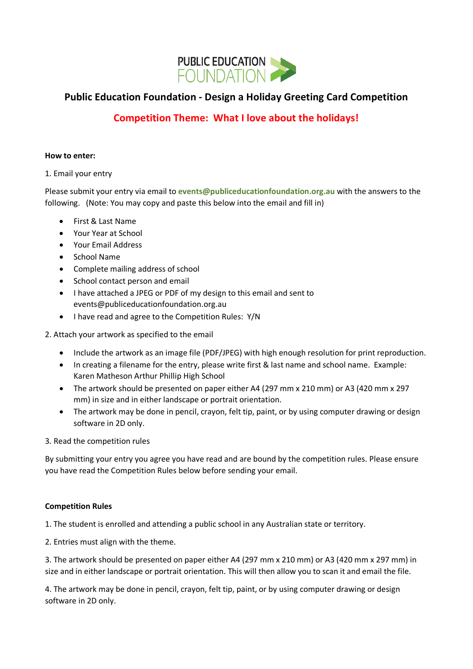

# **Public Education Foundation - Design a Holiday Greeting Card Competition**

# **Competition Theme: What I love about the holidays!**

### **How to enter:**

### 1. Email your entry

Please submit your entry via email to **events@publiceducationfoundation.org.au** with the answers to the following. (Note: You may copy and paste this below into the email and fill in)

- First & Last Name
- Your Year at School
- Your Email Address
- School Name
- Complete mailing address of school
- School contact person and email
- I have attached a JPEG or PDF of my design to this email and sent to events@publiceducationfoundation.org.au
- I have read and agree to the Competition Rules: Y/N

2. Attach your artwork as specified to the email

- Include the artwork as an image file (PDF/JPEG) with high enough resolution for print reproduction.
- In creating a filename for the entry, please write first & last name and school name. Example: Karen Matheson Arthur Phillip High School
- The artwork should be presented on paper either A4 (297 mm x 210 mm) or A3 (420 mm x 297 mm) in size and in either landscape or portrait orientation.
- The artwork may be done in pencil, crayon, felt tip, paint, or by using computer drawing or design software in 2D only.

3. Read the competition rules

By submitting your entry you agree you have read and are bound by the competition rules. Please ensure you have read the Competition Rules below before sending your email.

#### **Competition Rules**

1. The student is enrolled and attending a public school in any Australian state or territory.

2. Entries must align with the theme.

3. The artwork should be presented on paper either A4 (297 mm x 210 mm) or A3 (420 mm x 297 mm) in size and in either landscape or portrait orientation. This will then allow you to scan it and email the file.

4. The artwork may be done in pencil, crayon, felt tip, paint, or by using computer drawing or design software in 2D only.